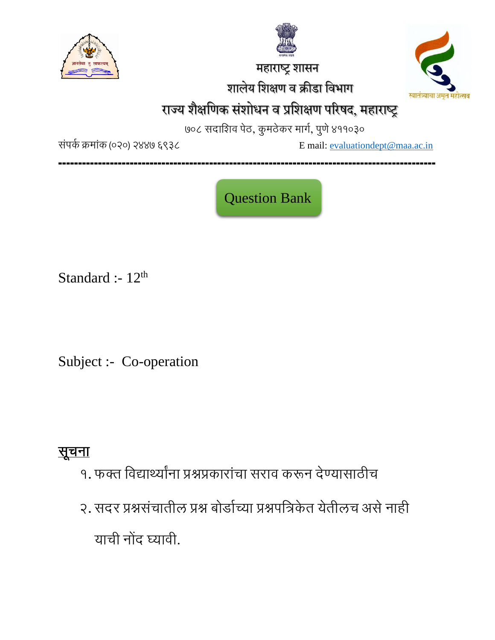

 महाराष्ट्र शासन शालेय शशक्षण व क्रीडा शवभाग



# राज्य शैक्षणिक संशोधन व प्रशिक्षण परिषद, महाराष्ट्र

७०८ सदाशिव पेठ, कुमठेकर मार्ग, पुणे ४११०३०

संपर्क क्रमांक (०२०) २४४७ ६९३८ Email: [evaluationdept@maa.ac.in](mailto:evaluationdept@maa.ac.in)

**-----------------------------------------------------------------------------------------------**

Question Bank

Standard :-  $12<sup>th</sup>$ 

Subject :- Co-operation

## सूचना

- १. फक्त शवद्यार्थ्यांना प्रश्नप्रकारांचा सराव करून देण्यासाठीच
- २. सदर प्रश्नसंचातील प्रश्न बोर्डाच्या प्रश्नपत्रिकेत येतीलच असे नाही याची नोंद घ्यावी.

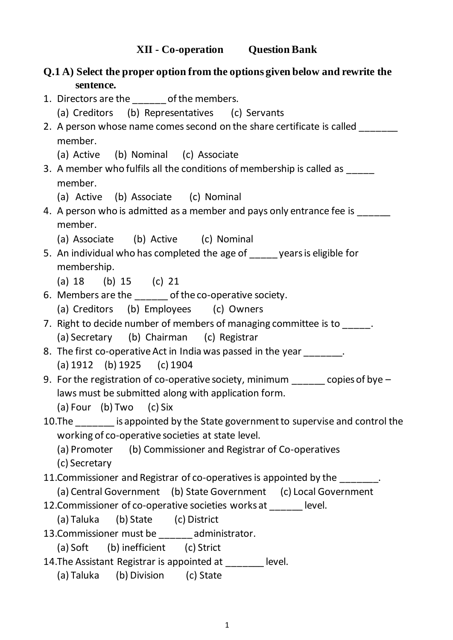**Q.1 A) Select the proper option from the options given below and rewrite the sentence.**  1. Directors are the same of the members. (a) Creditors (b) Representatives (c) Servants 2. A person whose name comes second on the share certificate is called \_\_\_\_\_\_\_\_\_ member. (a) Active (b) Nominal (c) Associate 3. A member who fulfils all the conditions of membership is called as member. (a) Active (b) Associate (c) Nominal 4. A person who is admitted as a member and pays only entrance fee is member. (a) Associate (b) Active (c) Nominal 5. An individual who has completed the age of vears is eligible for membership. (a) 18 (b) 15 (c) 21 6. Members are the \_\_\_\_\_\_ of the co-operative society. (a) Creditors (b) Employees (c) Owners 7. Right to decide number of members of managing committee is to (a) Secretary (b) Chairman (c) Registrar 8. The first co-operative Act in India was passed in the year \_\_\_\_\_\_\_. (a) 1912 (b) 1925 (c) 1904 9. For the registration of co-operative society, minimum copies of bye – laws must be submitted along with application form. (a) Four (b) Two (c) Six 10.The \_\_\_\_\_\_\_ is appointed by the State government to supervise and control the working of co-operative societies at state level. (a) Promoter (b) Commissioner and Registrar of Co-operatives (c) Secretary 11. Commissioner and Registrar of co-operatives is appointed by the  $\qquad \qquad$ . (a) Central Government (b) State Government (c) Local Government 12.Commissioner of co-operative societies works at \_\_\_\_\_\_ level. (a) Taluka (b) State (c) District 13.Commissioner must be \_\_\_\_\_\_ administrator. (a) Soft (b) inefficient (c) Strict 14. The Assistant Registrar is appointed at level. (a) Taluka (b) Division (c) State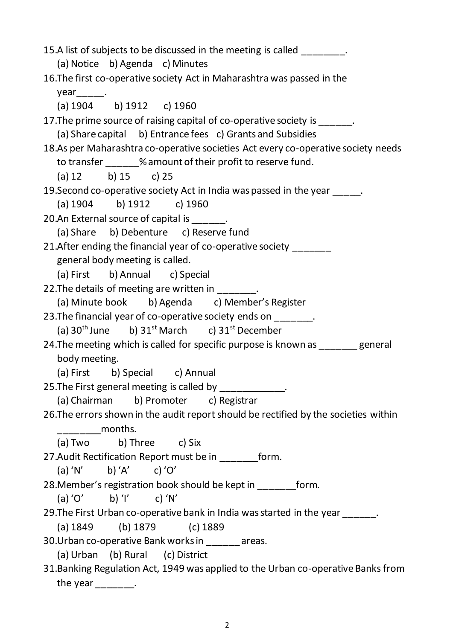| 15.A list of subjects to be discussed in the meeting is called ________.             |
|--------------------------------------------------------------------------------------|
| (a) Notice b) Agenda c) Minutes                                                      |
| 16. The first co-operative society Act in Maharashtra was passed in the              |
| $year_{\_\_\_\_\_\_\_\_\_\_\.$                                                       |
| (a) $1904$ b) $1912$ c) $1960$                                                       |
| 17. The prime source of raising capital of co-operative society is ______.           |
| (a) Share capital b) Entrance fees c) Grants and Subsidies                           |
| 18.As per Maharashtra co-operative societies Act every co-operative society needs    |
| to transfer ______% amount of their profit to reserve fund.                          |
| (a) 12 b) 15 c) 25                                                                   |
| 19. Second co-operative society Act in India was passed in the year _____.           |
| (a) $1904$ b) $1912$ c) $1960$                                                       |
| 20.An External source of capital is ______.                                          |
| (a) Share b) Debenture c) Reserve fund                                               |
| 21. After ending the financial year of co-operative society _____                    |
| general body meeting is called.                                                      |
| (a) First b) Annual c) Special                                                       |
| 22. The details of meeting are written in _______.                                   |
| (a) Minute book b) Agenda c) Member's Register                                       |
| 23. The financial year of co-operative society ends on _______.                      |
| (a) $30^{th}$ June b) $31^{st}$ March c) $31^{st}$ December                          |
| 24. The meeting which is called for specific purpose is known as _______ general     |
| body meeting.                                                                        |
| (a) First b) Special c) Annual                                                       |
| 25. The First general meeting is called by ___________.                              |
| (a) Chairman b) Promoter c) Registrar                                                |
| 26. The errors shown in the audit report should be rectified by the societies within |
| months.                                                                              |
| (a) Two b) Three c) Six                                                              |
| 27. Audit Rectification Report must be in _________ form.                            |
| (a) 'N' b) 'A' c) 'O'                                                                |
| 28. Member's registration book should be kept in __________ form.                    |
| (a) 'O' b) 'I' c) 'N'                                                                |
| 29. The First Urban co-operative bank in India was started in the year ______.       |
| (a) $1849$ (b) $1879$ (c) $1889$                                                     |
| 30. Urban co-operative Bank works in _______ areas.                                  |
| (a) Urban (b) Rural (c) District                                                     |
| 31. Banking Regulation Act, 1949 was applied to the Urban co-operative Banks from    |
| the year $\frac{1}{1}$ .                                                             |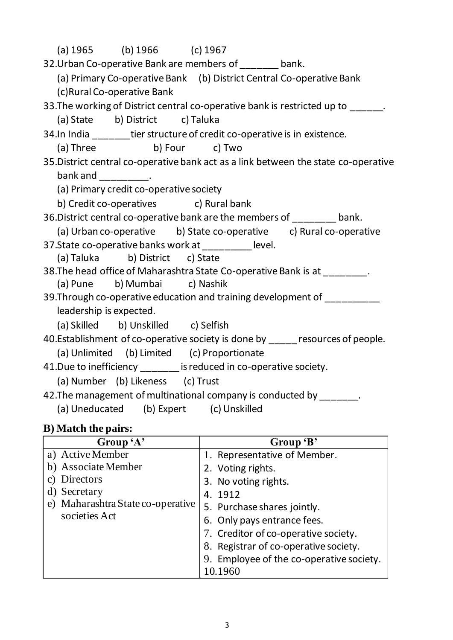| (a) $1965$ (b) $1966$ (c) $1967$                                                    |
|-------------------------------------------------------------------------------------|
| 32. Urban Co-operative Bank are members of ______ bank.                             |
| (a) Primary Co-operative Bank (b) District Central Co-operative Bank                |
| (c) Rural Co-operative Bank                                                         |
| 33. The working of District central co-operative bank is restricted up to _____.    |
| (a) State b) District c) Taluka                                                     |
| 34. In India _______tier structure of credit co-operative is in existence.          |
| (a) Three b) Four c) Two                                                            |
| 35. District central co-operative bank act as a link between the state co-operative |
| bank and $\frac{1}{2}$ .                                                            |
| (a) Primary credit co-operative society                                             |
| b) Credit co-operatives c) Rural bank                                               |
| 36. District central co-operative bank are the members of _______ bank.             |
| (a) Urban co-operative b) State co-operative c) Rural co-operative                  |
| 37. State co-operative banks work at __________ level.                              |
| (a) Taluka b) District c) State                                                     |
| 38. The head office of Maharashtra State Co-operative Bank is at ________.          |
| (a) Pune b) Mumbai c) Nashik                                                        |
| 39. Through co-operative education and training development of _________            |
| leadership is expected.                                                             |
| (a) Skilled b) Unskilled c) Selfish                                                 |
| 40. Establishment of co-operative society is done by _____ resources of people.     |
| (a) Unlimited (b) Limited (c) Proportionate                                         |
| 41. Due to inefficiency _____ is reduced in co-operative society.                   |
| (a) Number (b) Likeness (c) Trust                                                   |
| 42. The management of multinational company is conducted by _______.                |
| (a) Uneducated (b) Expert (c) Unskilled                                             |

#### **B) Match the pairs:**

| Group 'A'                         | Group 'B'                                |
|-----------------------------------|------------------------------------------|
| a) Active Member                  | 1. Representative of Member.             |
| b) Associate Member               | 2. Voting rights.                        |
| Directors<br>C)                   | 3. No voting rights.                     |
| d) Secretary                      | 4. 1912                                  |
| e) Maharashtra State co-operative | 5. Purchase shares jointly.              |
| societies Act                     | 6. Only pays entrance fees.              |
|                                   | 7. Creditor of co-operative society.     |
|                                   | 8. Registrar of co-operative society.    |
|                                   | 9. Employee of the co-operative society. |
|                                   | 10.1960                                  |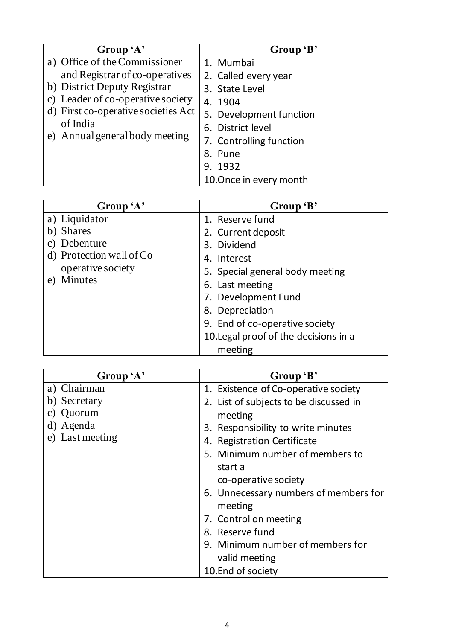| Group 'A'                           | Group 'B'               |
|-------------------------------------|-------------------------|
| a) Office of the Commissioner       | 1. Mumbai               |
| and Registrar of co-operatives      | 2. Called every year    |
| b) District Deputy Registrar        | 3. State Level          |
| c) Leader of co-operative society   | 4. 1904                 |
| d) First co-operative societies Act | 5. Development function |
| of India                            | 6. District level       |
| e) Annual general body meeting      | 7. Controlling function |
|                                     | 8. Pune                 |
|                                     | 9. 1932                 |
|                                     | 10.0nce in every month  |

| Group 'A'                 | Group 'B'                             |
|---------------------------|---------------------------------------|
| a) Liquidator             | 1. Reserve fund                       |
| b) Shares                 | 2. Current deposit                    |
| Debenture<br>C)           | 3. Dividend                           |
| d) Protection wall of Co- | 4. Interest                           |
| operative society         | 5. Special general body meeting       |
| Minutes<br>e)             | 6. Last meeting                       |
|                           | 7. Development Fund                   |
|                           | 8. Depreciation                       |
|                           | 9. End of co-operative society        |
|                           | 10. Legal proof of the decisions in a |
|                           | meeting                               |

| Group 'A'       | Group 'B'                              |
|-----------------|----------------------------------------|
| a) Chairman     | 1. Existence of Co-operative society   |
| b) Secretary    | 2. List of subjects to be discussed in |
| Quorum<br>C)    | meeting                                |
| d) Agenda       | 3. Responsibility to write minutes     |
| e) Last meeting | 4. Registration Certificate            |
|                 | 5. Minimum number of members to        |
|                 | start a                                |
|                 | co-operative society                   |
|                 | 6. Unnecessary numbers of members for  |
|                 | meeting                                |
|                 | 7. Control on meeting                  |
|                 | 8. Reserve fund                        |
|                 | 9. Minimum number of members for       |
|                 | valid meeting                          |
|                 | 10.End of society                      |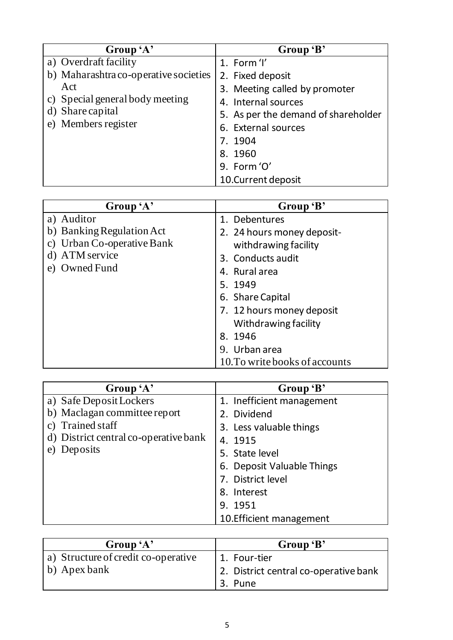| Group 'A'                             | Group 'B'                           |
|---------------------------------------|-------------------------------------|
| a) Overdraft facility                 | 1. Form 'I'                         |
| b) Maharashtra co-operative societies | 2. Fixed deposit                    |
| Act                                   | 3. Meeting called by promoter       |
| c) Special general body meeting       | 4. Internal sources                 |
| d) Share capital                      | 5. As per the demand of shareholder |
| e) Members register                   | 6. External sources                 |
|                                       | 7. 1904                             |
|                                       | 8. 1960                             |
|                                       | 9. Form 'O'                         |
|                                       | 10. Current deposit                 |

| Group 'A'                     | Group 'B'                      |
|-------------------------------|--------------------------------|
| a) Auditor                    | 1. Debentures                  |
| b) Banking Regulation Act     | 2. 24 hours money deposit-     |
| Urban Co-operative Bank<br>C) | withdrawing facility           |
| ATM service                   | 3. Conducts audit              |
| Owned Fund<br>e)              | 4. Rural area                  |
|                               | 5. 1949                        |
|                               | 6. Share Capital               |
|                               | 7. 12 hours money deposit      |
|                               | Withdrawing facility           |
|                               | 8.1946                         |
|                               | 9. Urban area                  |
|                               | 10. To write books of accounts |

| Group 'A'                               | Group 'B'                  |
|-----------------------------------------|----------------------------|
| a) Safe Deposit Lockers                 | 1. Inefficient management  |
| b) Maclagan committee report            | 2. Dividend                |
| <b>Trained staff</b><br>$\mathcal{C}$ ) | 3. Less valuable things    |
| d) District central co-operative bank   | 4. 1915                    |
| Deposits<br>e)                          | 5. State level             |
|                                         | 6. Deposit Valuable Things |
|                                         | 7. District level          |
|                                         | 8. Interest                |
|                                         | 9. 1951                    |
|                                         | 10. Efficient management   |

| Group 'A'                           | Group 'B'                             |
|-------------------------------------|---------------------------------------|
| a) Structure of credit co-operative | 1. Four-tier                          |
| b) Apex bank                        | 2. District central co-operative bank |
|                                     | 3. Pune                               |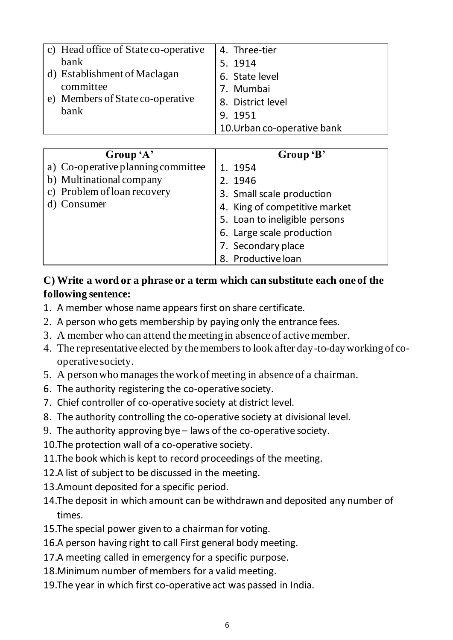| c) Head office of State co-operative | 4. Three-tier               |
|--------------------------------------|-----------------------------|
| bank                                 | 5. 1914                     |
| d) Establishment of Maclagan         | 6. State level              |
| committee                            | 7. Mumbai                   |
| e) Members of State co-operative     | 8. District level           |
| bank                                 | 9. 1951                     |
|                                      | 10. Urban co-operative bank |

| Group 'A'                          | Group 'B'                     |
|------------------------------------|-------------------------------|
| a) Co-operative planning committee | 1. 1954                       |
| b) Multinational company           | 2. 1946                       |
| c) Problem of loan recovery        | 3. Small scale production     |
| d) Consumer                        | 4. King of competitive market |
|                                    | 5. Loan to ineligible persons |
|                                    | 6. Large scale production     |
|                                    | 7. Secondary place            |
|                                    | 8. Productive loan            |

#### **C) Write a word or a phrase or a term which can substitute each one of the following sentence:**

- 1. A member whose name appears first on share certificate.
- 2. A person who gets membership by paying only the entrance fees.
- 3. A member who can attend the meeting in absence of active member.
- 4. The representative elected by the members to look after day-to-day working of cooperative society.
- 5. A person who manages the work of meeting in absence of a chairman.
- 6. The authority registering the co-operative society.
- 7. Chief controller of co-operative society at district level.
- 8. The authority controlling the co-operative society at divisional level.
- 9. The authority approving bye laws of the co-operative society.
- 10.The protection wall of a co-operative society.
- 11.The book which is kept to record proceedings of the meeting.
- 12.A list of subject to be discussed in the meeting.
- 13.Amount deposited for a specific period.
- 14.The deposit in which amount can be withdrawn and deposited any number of times.
- 15.The special power given to a chairman for voting.
- 16.A person having right to call First general body meeting.
- 17.A meeting called in emergency for a specific purpose.
- 18.Minimum number of members for a valid meeting.
- 19.The year in which first co-operative act was passed in India.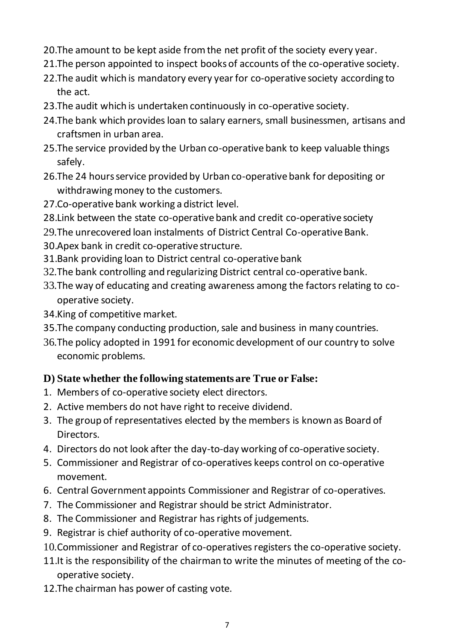- 20.The amount to be kept aside from the net profit of the society every year.
- 21.The person appointed to inspect books of accounts of the co-operative society.
- 22.The audit which is mandatory every year for co-operative society according to the act.
- 23.The audit which is undertaken continuously in co-operative society.
- 24.The bank which provides loan to salary earners, small businessmen, artisans and craftsmen in urban area.
- 25.The service provided by the Urban co-operative bank to keep valuable things safely.
- 26.The 24 hours service provided by Urban co-operative bank for depositing or withdrawing money to the customers.
- 27.Co-operative bank working a district level.
- 28.Link between the state co-operative bank and credit co-operative society
- 29.The unrecovered loan instalments of District Central Co-operative Bank.
- 30.Apex bank in credit co-operative structure.
- 31.Bank providing loan to District central co-operative bank
- 32.The bank controlling and regularizing District central co-operative bank.
- 33.The way of educating and creating awareness among the factors relating to cooperative society.
- 34.King of competitive market.
- 35.The company conducting production, sale and business in many countries.
- 36.The policy adopted in 1991 for economic development of our country to solve economic problems.

#### **D) State whether the following statements are True or False:**

- 1. Members of co-operative society elect directors.
- 2. Active members do not have right to receive dividend.
- 3. The group of representatives elected by the members is known as Board of Directors.
- 4. Directors do not look after the day-to-day working of co-operative society.
- 5. Commissioner and Registrar of co-operatives keeps control on co-operative movement.
- 6. Central Government appoints Commissioner and Registrar of co-operatives.
- 7. The Commissioner and Registrar should be strict Administrator.
- 8. The Commissioner and Registrar has rights of judgements.
- 9. Registrar is chief authority of co-operative movement.
- 10.Commissioner and Registrar of co-operatives registers the co-operative society.
- 11.It is the responsibility of the chairman to write the minutes of meeting of the cooperative society.
- 12.The chairman has power of casting vote.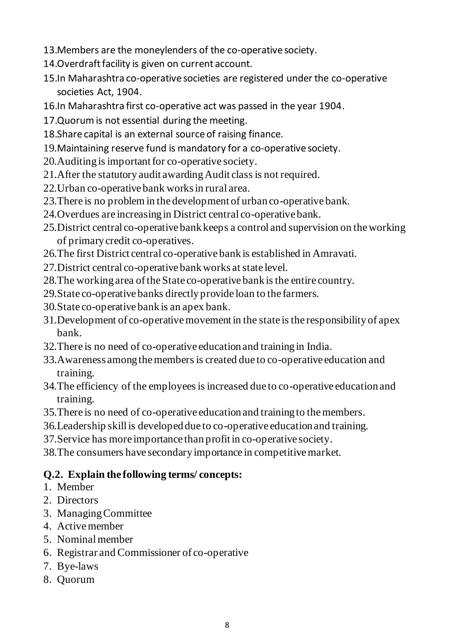- 13.Members are the moneylenders of the co-operative society.
- 14.Overdraft facility is given on current account.
- 15.In Maharashtra co-operative societies are registered under the co-operative societies Act, 1904.
- 16.In Maharashtra first co-operative act was passed in the year 1904.
- 17.Quorum is not essential during the meeting.
- 18.Share capital is an external source of raising finance.
- 19.Maintaining reserve fund is mandatory for a co-operative society.
- 20.Auditing is important for co-operative society.
- 21.After the statutory audit awarding Audit class is not required.
- 22.Urban co-operative bank works in rural area.
- 23.There is no problem in the development of urban co-operative bank.
- 24.Overdues are increasing in District central co-operative bank.
- 25.District central co-operative bank keeps a control and supervision on the working of primary credit co-operatives.
- 26.The first District central co-operative bank is established in Amravati.
- 27.District central co-operative bank works at state level.
- 28.The working area of the State co-operative bank is the entire country.
- 29.State co-operative banks directly provide loan to the farmers.
- 30.State co-operative bank is an apex bank.
- 31.Development of co-operative movement in the state is the responsibility of apex bank.
- 32.There is no need of co-operative education and training in India.
- 33.Awareness among the members is created due to co-operative education and training.
- 34.The efficiency of the employees is increased due to co-operative education and training.
- 35.There is no need of co-operative education and training to the members.
- 36.Leadership skill is developed due to co-operative education and training.
- 37.Service has more importance than profit in co-operative society.
- 38.The consumers have secondary importance in competitive market.

#### **Q.2. Explain the following terms/ concepts:**

- 1. Member
- 2. Directors
- 3. Managing Committee
- 4. Active member
- 5. Nominal member
- 6. Registrar and Commissioner of co-operative
- 7. Bye-laws
- 8. Quorum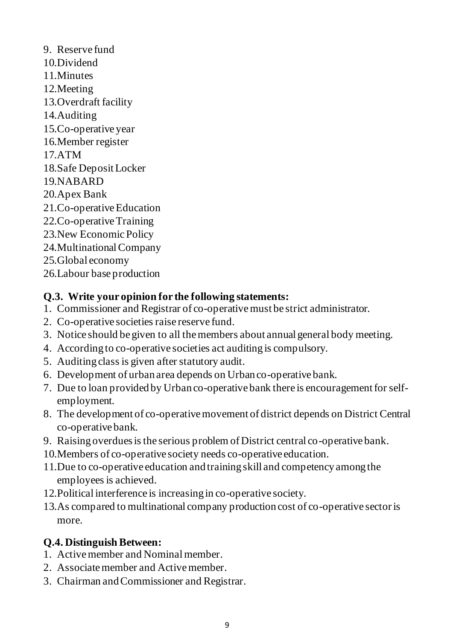- 9. Reserve fund
- 10.Dividend
- 11.Minutes
- 12.Meeting
- 13.Overdraft facility
- 14.Auditing
- 15.Co-operative year
- 16.Member register
- 17.ATM
- 18.Safe Deposit Locker
- 19.NABARD
- 20.Apex Bank
- 21.Co-operative Education
- 22.Co-operative Training
- 23.New Economic Policy
- 24.Multinational Company
- 25.Global economy
- 26.Labour base production

## **Q.3. Write your opinion for the following statements:**

- 1. Commissioner and Registrar of co-operative must be strict administrator.
- 2. Co-operative societies raise reserve fund.
- 3. Notice should be given to all the members about annual general body meeting.
- 4. According to co-operative societies act auditing is compulsory.
- 5. Auditing class is given after statutory audit.
- 6. Development of urban area depends on Urban co-operative bank.
- 7. Due to loan provided by Urban co-operative bank there is encouragement for selfemployment.
- 8. The development of co-operative movement of district depends on District Central co-operative bank.
- 9. Raising overdues is the serious problem of District central co-operative bank.
- 10.Members of co-operative society needs co-operative education.
- 11.Due to co-operative education and training skill and competency among the employees is achieved.
- 12.Political interference is increasing in co-operative society.
- 13.As compared to multinational company production cost of co-operative sector is more.

## **Q.4. Distinguish Between:**

- 1. Active member and Nominal member.
- 2. Associate member and Active member.
- 3. Chairman and Commissioner and Registrar.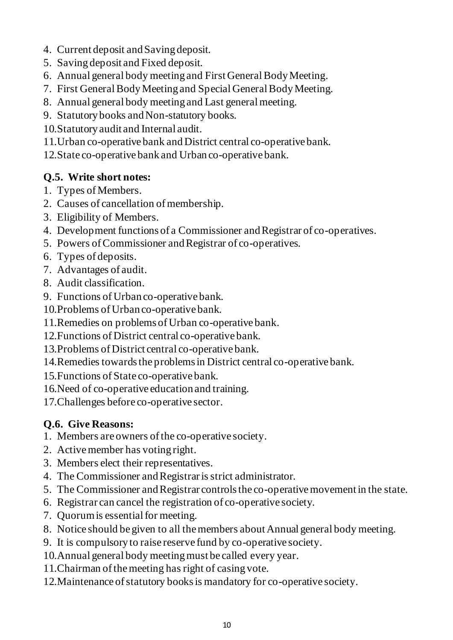- 4. Current deposit and Saving deposit.
- 5. Saving deposit and Fixed deposit.
- 6. Annual general body meeting and First General Body Meeting.
- 7. First General Body Meeting and Special General Body Meeting.
- 8. Annual general body meeting and Last general meeting.
- 9. Statutory books and Non-statutory books.
- 10.Statutory audit and Internal audit.
- 11.Urban co-operative bank and District central co-operative bank.
- 12.State co-operative bank and Urban co-operative bank.

#### **Q.5. Write short notes:**

- 1. Types of Members.
- 2. Causes of cancellation of membership.
- 3. Eligibility of Members.
- 4. Development functions of a Commissioner and Registrar of co-operatives.
- 5. Powers of Commissioner and Registrar of co-operatives.
- 6. Types of deposits.
- 7. Advantages of audit.
- 8. Audit classification.
- 9. Functions of Urban co-operative bank.
- 10.Problems of Urban co-operative bank.
- 11.Remedies on problems of Urban co-operative bank.
- 12.Functions of District central co-operative bank.
- 13.Problems of District central co-operative bank.
- 14.Remedies towards the problems in District central co-operative bank.
- 15.Functions of State co-operative bank.
- 16.Need of co-operative education and training.
- 17.Challenges before co-operative sector.

## **Q.6. Give Reasons:**

- 1. Members are owners of the co-operative society.
- 2. Active member has voting right.
- 3. Members elect their representatives.
- 4. The Commissioner and Registrar is strict administrator.
- 5. The Commissioner and Registrar controls the co-operative movement in the state.
- 6. Registrar can cancel the registration of co-operative society.
- 7. Quorum is essential for meeting.
- 8. Notice should be given to all the members about Annual general body meeting.
- 9. It is compulsory to raise reserve fund by co-operative society.
- 10.Annual general body meeting must be called every year.
- 11.Chairman of the meeting has right of casing vote.
- 12.Maintenance of statutory books is mandatory for co-operative society.